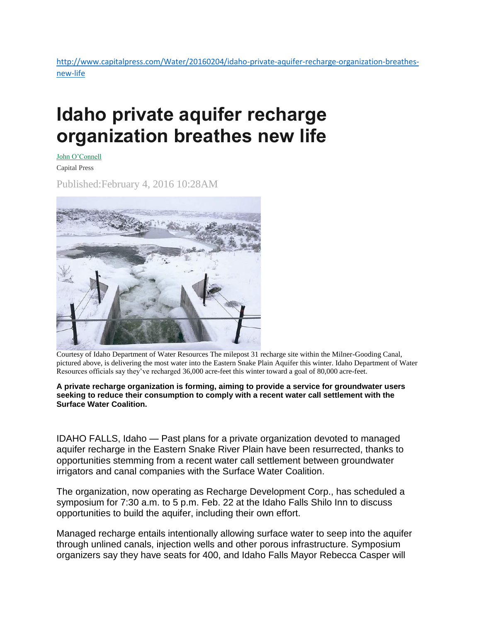[http://www.capitalpress.com/Water/20160204/idaho-private-aquifer-recharge-organization-breathes](http://www.capitalpress.com/Water/20160204/idaho-private-aquifer-recharge-organization-breathes-new-life)[new-life](http://www.capitalpress.com/Water/20160204/idaho-private-aquifer-recharge-organization-breathes-new-life)

## **Idaho private aquifer recharge organization breathes new life**

John [O'Connell](http://www.capitalpress.com/apps/pbcs.dll/section?category=staff&template=staffProfilePages&staffID=joconnell)

Capital Press

Published:February 4, 2016 10:28AM



Courtesy of Idaho Department of Water Resources The milepost 31 recharge site within the Milner-Gooding Canal, pictured above, is delivering the most water into the Eastern Snake Plain Aquifer this winter. Idaho Department of Water Resources officials say they've recharged 36,000 acre-feet this winter toward a goal of 80,000 acre-feet.

## **A private recharge organization is forming, aiming to provide a service for groundwater users seeking to reduce their consumption to comply with a recent water call settlement with the Surface Water Coalition.**

IDAHO FALLS, Idaho — Past plans for a private organization devoted to managed aquifer recharge in the Eastern Snake River Plain have been resurrected, thanks to opportunities stemming from a recent water call settlement between groundwater irrigators and canal companies with the Surface Water Coalition.

The organization, now operating as Recharge Development Corp., has scheduled a symposium for 7:30 a.m. to 5 p.m. Feb. 22 at the Idaho Falls Shilo Inn to discuss opportunities to build the aquifer, including their own effort.

Managed recharge entails intentionally allowing surface water to seep into the aquifer through unlined canals, injection wells and other porous infrastructure. Symposium organizers say they have seats for 400, and Idaho Falls Mayor Rebecca Casper will